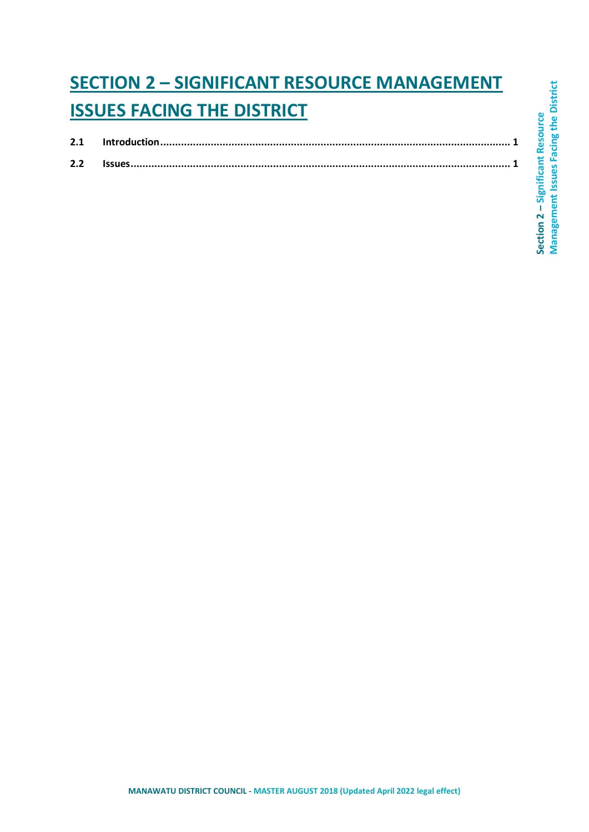## **SECTION 2 – SIGNIFICANT RESOURCE MANAGEMENT ISSUES FACING THE DISTRICT**

| 2.1 |  |
|-----|--|
| 2.2 |  |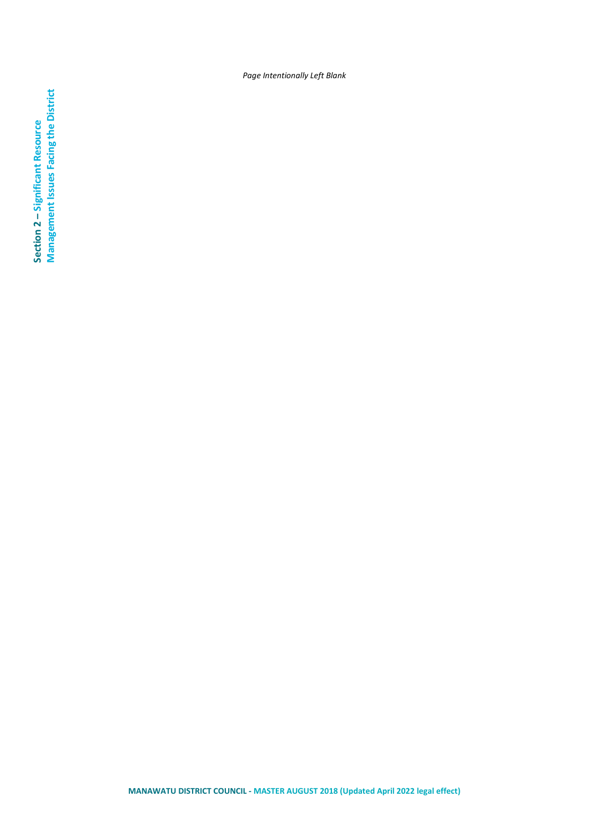*Page Intentionally Left Blank*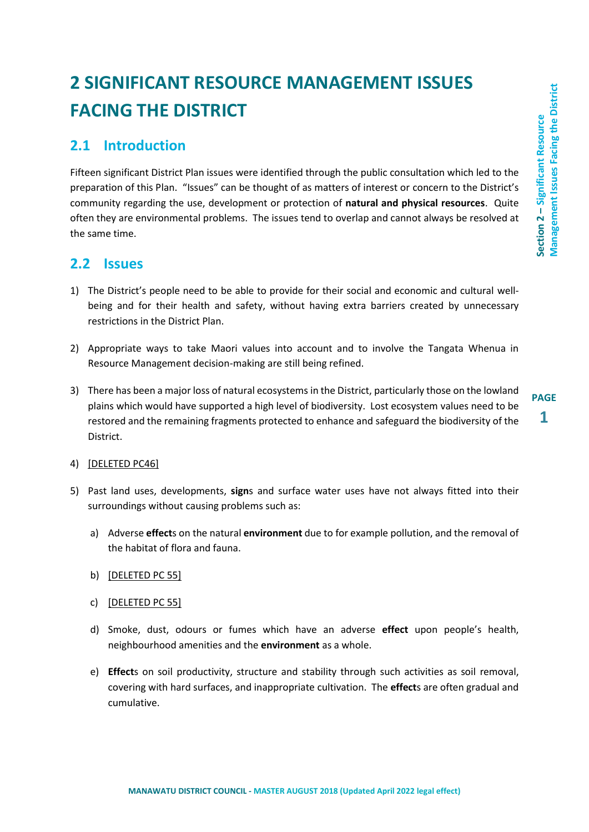**PAGE**

**1**

## **2 SIGNIFICANT RESOURCE MANAGEMENT ISSUES FACING THE DISTRICT**

## <span id="page-4-0"></span>**2.1 Introduction**

Fifteen significant District Plan issues were identified through the public consultation which led to the preparation of this Plan. "Issues" can be thought of as matters of interest or concern to the District's community regarding the use, development or protection of **natural and physical resources**. Quite often they are environmental problems. The issues tend to overlap and cannot always be resolved at the same time.

## <span id="page-4-1"></span>**2.2 Issues**

- 1) The District's people need to be able to provide for their social and economic and cultural wellbeing and for their health and safety, without having extra barriers created by unnecessary restrictions in the District Plan.
- 2) Appropriate ways to take Maori values into account and to involve the Tangata Whenua in Resource Management decision-making are still being refined.
- 3) There has been a major loss of natural ecosystems in the District, particularly those on the lowland plains which would have supported a high level of biodiversity. Lost ecosystem values need to be restored and the remaining fragments protected to enhance and safeguard the biodiversity of the District.
- 4) [DELETED PC46]
- 5) Past land uses, developments, **sign**s and surface water uses have not always fitted into their surroundings without causing problems such as:
	- a) Adverse **effect**s on the natural **environment** due to for example pollution, and the removal of the habitat of flora and fauna.
	- b) [DELETED PC 55]
	- c) [DELETED PC 55]
	- d) Smoke, dust, odours or fumes which have an adverse **effect** upon people's health, neighbourhood amenities and the **environment** as a whole.
	- e) **Effect**s on soil productivity, structure and stability through such activities as soil removal, covering with hard surfaces, and inappropriate cultivation. The **effect**s are often gradual and cumulative.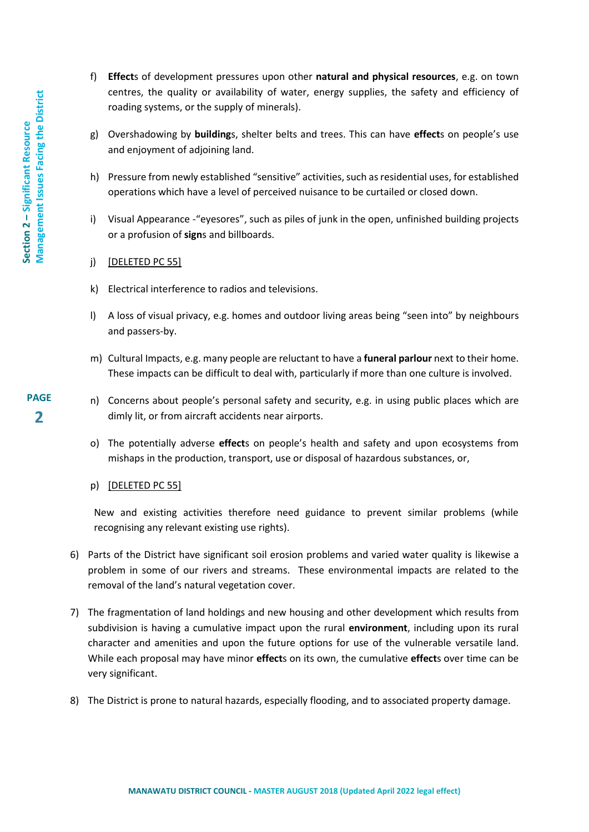- f) **Effect**s of development pressures upon other **natural and physical resources**, e.g. on town centres, the quality or availability of water, energy supplies, the safety and efficiency of roading systems, or the supply of minerals).
- g) Overshadowing by **building**s, shelter belts and trees. This can have **effect**s on people's use and enjoyment of adjoining land.
- h) Pressure from newly established "sensitive" activities, such as residential uses, for established operations which have a level of perceived nuisance to be curtailed or closed down.
- i) Visual Appearance -"eyesores", such as piles of junk in the open, unfinished building projects or a profusion of **sign**s and billboards.
- j) [DELETED PC 55]
- k) Electrical interference to radios and televisions.
- l) A loss of visual privacy, e.g. homes and outdoor living areas being "seen into" by neighbours and passers-by.
- m) Cultural Impacts, e.g. many people are reluctant to have a **funeral parlour** next to their home. These impacts can be difficult to deal with, particularly if more than one culture is involved.
- n) Concerns about people's personal safety and security, e.g. in using public places which are dimly lit, or from aircraft accidents near airports.
- o) The potentially adverse **effect**s on people's health and safety and upon ecosystems from mishaps in the production, transport, use or disposal of hazardous substances, or,
- p) [DELETED PC 55]

New and existing activities therefore need guidance to prevent similar problems (while recognising any relevant existing use rights).

- 6) Parts of the District have significant soil erosion problems and varied water quality is likewise a problem in some of our rivers and streams. These environmental impacts are related to the removal of the land's natural vegetation cover.
- 7) The fragmentation of land holdings and new housing and other development which results from subdivision is having a cumulative impact upon the rural **environment**, including upon its rural character and amenities and upon the future options for use of the vulnerable versatile land. While each proposal may have minor **effect**s on its own, the cumulative **effect**s over time can be very significant.
- 8) The District is prone to natural hazards, especially flooding, and to associated property damage.

**PAGE 2**